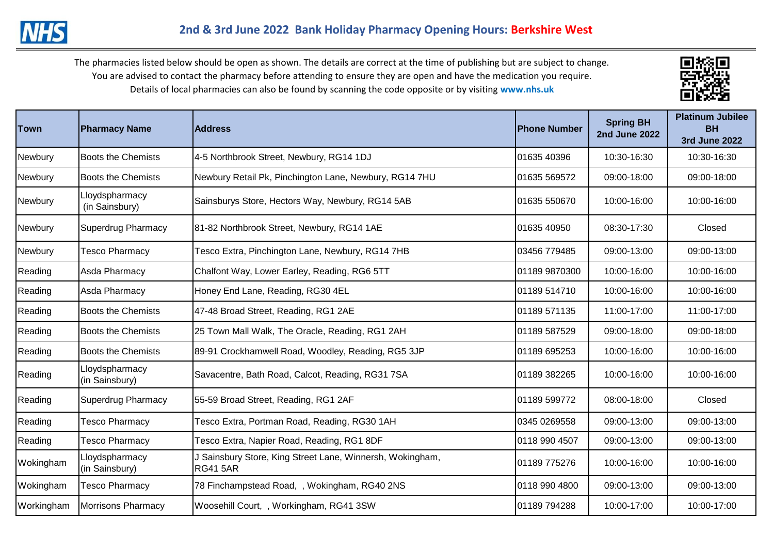The pharmacies listed below should be open as shown. The details are correct at the time of publishing but are subject to change. You are advised to contact the pharmacy before attending to ensure they are open and have the medication you require. Details of local pharmacies can also be found by scanning the code opposite or by visiting **www.nhs.uk** 



| <b>Town</b> | <b>Pharmacy Name</b>             | <b>Address</b>                                                               | <b>Phone Number</b> | <b>Spring BH</b><br><b>2nd June 2022</b> | <b>Platinum Jubilee</b><br><b>BH</b><br><b>3rd June 2022</b> |
|-------------|----------------------------------|------------------------------------------------------------------------------|---------------------|------------------------------------------|--------------------------------------------------------------|
| Newbury     | <b>Boots the Chemists</b>        | 4-5 Northbrook Street, Newbury, RG14 1DJ                                     | 01635 40396         | 10:30-16:30                              | 10:30-16:30                                                  |
| Newbury     | <b>Boots the Chemists</b>        | Newbury Retail Pk, Pinchington Lane, Newbury, RG14 7HU                       | 01635 569572        | 09:00-18:00                              | 09:00-18:00                                                  |
| Newbury     | Lloydspharmacy<br>(in Sainsbury) | Sainsburys Store, Hectors Way, Newbury, RG14 5AB                             | 01635 550670        | 10:00-16:00                              | 10:00-16:00                                                  |
| Newbury     | <b>Superdrug Pharmacy</b>        | 81-82 Northbrook Street, Newbury, RG14 1AE                                   | 01635 40950         | 08:30-17:30                              | Closed                                                       |
| Newbury     | <b>Tesco Pharmacy</b>            | Tesco Extra, Pinchington Lane, Newbury, RG14 7HB                             | 03456 779485        | 09:00-13:00                              | 09:00-13:00                                                  |
| Reading     | Asda Pharmacy                    | Chalfont Way, Lower Earley, Reading, RG6 5TT                                 | 01189 9870300       | 10:00-16:00                              | 10:00-16:00                                                  |
| Reading     | Asda Pharmacy                    | Honey End Lane, Reading, RG30 4EL                                            | 01189 514710        | 10:00-16:00                              | 10:00-16:00                                                  |
| Reading     | <b>Boots the Chemists</b>        | 47-48 Broad Street, Reading, RG1 2AE                                         | 01189 571135        | 11:00-17:00                              | 11:00-17:00                                                  |
| Reading     | <b>Boots the Chemists</b>        | 25 Town Mall Walk, The Oracle, Reading, RG1 2AH                              | 01189 587529        | 09:00-18:00                              | 09:00-18:00                                                  |
| Reading     | <b>Boots the Chemists</b>        | 89-91 Crockhamwell Road, Woodley, Reading, RG5 3JP                           | 01189 695253        | 10:00-16:00                              | 10:00-16:00                                                  |
| Reading     | Lloydspharmacy<br>(in Sainsbury) | Savacentre, Bath Road, Calcot, Reading, RG31 7SA                             | 01189 382265        | 10:00-16:00                              | 10:00-16:00                                                  |
| Reading     | <b>Superdrug Pharmacy</b>        | 55-59 Broad Street, Reading, RG1 2AF                                         | 01189 599772        | 08:00-18:00                              | Closed                                                       |
| Reading     | <b>Tesco Pharmacy</b>            | Tesco Extra, Portman Road, Reading, RG30 1AH                                 | 0345 0269558        | 09:00-13:00                              | 09:00-13:00                                                  |
| Reading     | Tesco Pharmacy                   | Tesco Extra, Napier Road, Reading, RG1 8DF                                   | 0118 990 4507       | 09:00-13:00                              | 09:00-13:00                                                  |
| Wokingham   | Lloydspharmacy<br>(in Sainsbury) | J Sainsbury Store, King Street Lane, Winnersh, Wokingham,<br><b>RG41 5AR</b> | 01189 775276        | 10:00-16:00                              | 10:00-16:00                                                  |
| Wokingham   | <b>Tesco Pharmacy</b>            | 78 Finchampstead Road, , Wokingham, RG40 2NS                                 | 0118 990 4800       | 09:00-13:00                              | 09:00-13:00                                                  |
| Workingham  | Morrisons Pharmacy               | Woosehill Court, , Workingham, RG41 3SW                                      | 01189 794288        | 10:00-17:00                              | 10:00-17:00                                                  |